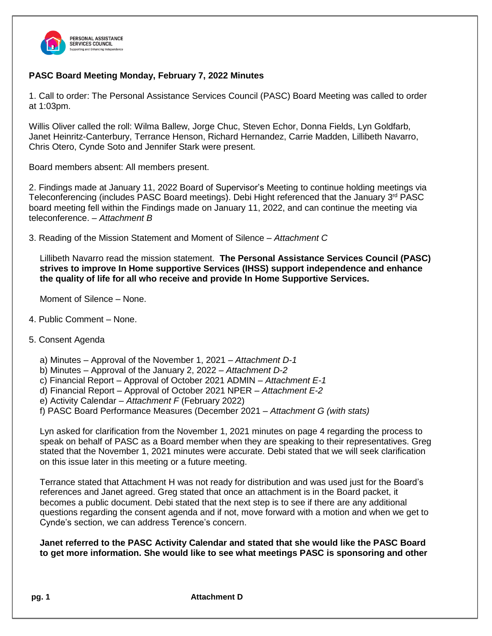

# **PASC Board Meeting Monday, February 7, 2022 Minutes**

1. Call to order: The Personal Assistance Services Council (PASC) Board Meeting was called to order at 1:03pm.

Willis Oliver called the roll: Wilma Ballew, Jorge Chuc, Steven Echor, Donna Fields, Lyn Goldfarb, Janet Heinritz-Canterbury, Terrance Henson, Richard Hernandez, Carrie Madden, Lillibeth Navarro, Chris Otero, Cynde Soto and Jennifer Stark were present.

Board members absent: All members present.

2. Findings made at January 11, 2022 Board of Supervisor's Meeting to continue holding meetings via Teleconferencing (includes PASC Board meetings). Debi Hight referenced that the January 3<sup>rd</sup> PASC board meeting fell within the Findings made on January 11, 2022, and can continue the meeting via teleconference. *– Attachment B*

3. Reading of the Mission Statement and Moment of Silence – *Attachment C*

Lillibeth Navarro read the mission statement. **The Personal Assistance Services Council (PASC) strives to improve In Home supportive Services (IHSS) support independence and enhance the quality of life for all who receive and provide In Home Supportive Services.**

Moment of Silence – None.

- 4. Public Comment None.
- 5. Consent Agenda
	- a) Minutes Approval of the November 1, 2021 *Attachment D-1*
	- b) Minutes Approval of the January 2, 2022 *Attachment D-2*
	- c) Financial Report Approval of October 2021 ADMIN *Attachment E-1*
	- d) Financial Report Approval of October 2021 NPER *Attachment E-2*
	- e) Activity Calendar *Attachment F* (February 2022)
	- f) PASC Board Performance Measures (December 2021 *– Attachment G (with stats)*

Lyn asked for clarification from the November 1, 2021 minutes on page 4 regarding the process to speak on behalf of PASC as a Board member when they are speaking to their representatives. Greg stated that the November 1, 2021 minutes were accurate. Debi stated that we will seek clarification on this issue later in this meeting or a future meeting.

Terrance stated that Attachment H was not ready for distribution and was used just for the Board's references and Janet agreed. Greg stated that once an attachment is in the Board packet, it becomes a public document. Debi stated that the next step is to see if there are any additional questions regarding the consent agenda and if not, move forward with a motion and when we get to Cynde's section, we can address Terence's concern.

**Janet referred to the PASC Activity Calendar and stated that she would like the PASC Board to get more information. She would like to see what meetings PASC is sponsoring and other**

**pg. 1 Attachment D**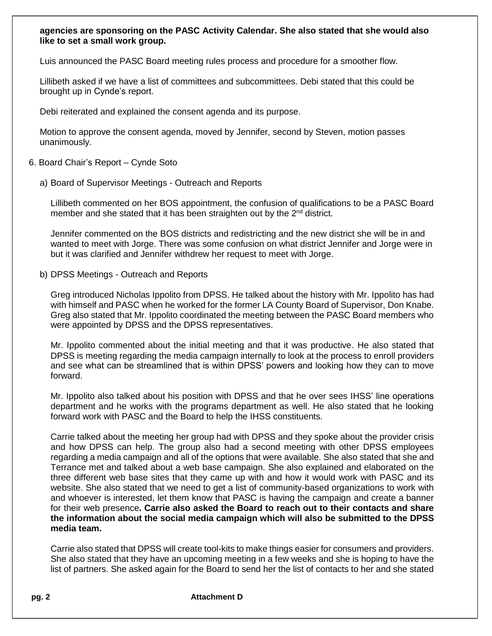## **agencies are sponsoring on the PASC Activity Calendar. She also stated that she would also like to set a small work group.**

Luis announced the PASC Board meeting rules process and procedure for a smoother flow.

Lillibeth asked if we have a list of committees and subcommittees. Debi stated that this could be brought up in Cynde's report.

Debi reiterated and explained the consent agenda and its purpose.

Motion to approve the consent agenda, moved by Jennifer, second by Steven, motion passes unanimously.

- 6. Board Chair's Report Cynde Soto
	- a) Board of Supervisor Meetings Outreach and Reports

Lillibeth commented on her BOS appointment, the confusion of qualifications to be a PASC Board member and she stated that it has been straighten out by the  $2<sup>nd</sup>$  district.

Jennifer commented on the BOS districts and redistricting and the new district she will be in and wanted to meet with Jorge. There was some confusion on what district Jennifer and Jorge were in but it was clarified and Jennifer withdrew her request to meet with Jorge.

b) DPSS Meetings - Outreach and Reports

Greg introduced Nicholas Ippolito from DPSS. He talked about the history with Mr. Ippolito has had with himself and PASC when he worked for the former LA County Board of Supervisor, Don Knabe. Greg also stated that Mr. Ippolito coordinated the meeting between the PASC Board members who were appointed by DPSS and the DPSS representatives.

Mr. Ippolito commented about the initial meeting and that it was productive. He also stated that DPSS is meeting regarding the media campaign internally to look at the process to enroll providers and see what can be streamlined that is within DPSS' powers and looking how they can to move forward.

Mr. Ippolito also talked about his position with DPSS and that he over sees IHSS' line operations department and he works with the programs department as well. He also stated that he looking forward work with PASC and the Board to help the IHSS constituents.

Carrie talked about the meeting her group had with DPSS and they spoke about the provider crisis and how DPSS can help. The group also had a second meeting with other DPSS employees regarding a media campaign and all of the options that were available. She also stated that she and Terrance met and talked about a web base campaign. She also explained and elaborated on the three different web base sites that they came up with and how it would work with PASC and its website. She also stated that we need to get a list of community-based organizations to work with and whoever is interested, let them know that PASC is having the campaign and create a banner for their web presence**. Carrie also asked the Board to reach out to their contacts and share the information about the social media campaign which will also be submitted to the DPSS media team.**

Carrie also stated that DPSS will create tool-kits to make things easier for consumers and providers. She also stated that they have an upcoming meeting in a few weeks and she is hoping to have the list of partners. She asked again for the Board to send her the list of contacts to her and she stated

**pg. 2 Attachment D**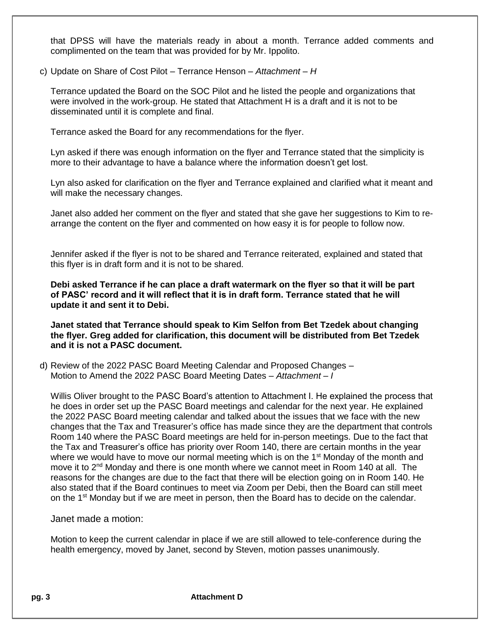that DPSS will have the materials ready in about a month. Terrance added comments and complimented on the team that was provided for by Mr. Ippolito.

c) Update on Share of Cost Pilot – Terrance Henson – *Attachment – H*

Terrance updated the Board on the SOC Pilot and he listed the people and organizations that were involved in the work-group. He stated that Attachment H is a draft and it is not to be disseminated until it is complete and final.

Terrance asked the Board for any recommendations for the flyer.

Lyn asked if there was enough information on the flyer and Terrance stated that the simplicity is more to their advantage to have a balance where the information doesn't get lost.

Lyn also asked for clarification on the flyer and Terrance explained and clarified what it meant and will make the necessary changes.

Janet also added her comment on the flyer and stated that she gave her suggestions to Kim to rearrange the content on the flyer and commented on how easy it is for people to follow now.

Jennifer asked if the flyer is not to be shared and Terrance reiterated, explained and stated that this flyer is in draft form and it is not to be shared.

**Debi asked Terrance if he can place a draft watermark on the flyer so that it will be part of PASC' record and it will reflect that it is in draft form. Terrance stated that he will update it and sent it to Debi.** 

**Janet stated that Terrance should speak to Kim Selfon from Bet Tzedek about changing the flyer. Greg added for clarification, this document will be distributed from Bet Tzedek and it is not a PASC document.**

d) Review of the 2022 PASC Board Meeting Calendar and Proposed Changes – Motion to Amend the 2022 PASC Board Meeting Dates – *Attachment – I* 

Willis Oliver brought to the PASC Board's attention to Attachment I. He explained the process that he does in order set up the PASC Board meetings and calendar for the next year. He explained the 2022 PASC Board meeting calendar and talked about the issues that we face with the new changes that the Tax and Treasurer's office has made since they are the department that controls Room 140 where the PASC Board meetings are held for in-person meetings. Due to the fact that the Tax and Treasurer's office has priority over Room 140, there are certain months in the year where we would have to move our normal meeting which is on the  $1<sup>st</sup>$  Monday of the month and move it to  $2<sup>nd</sup>$  Monday and there is one month where we cannot meet in Room 140 at all. The reasons for the changes are due to the fact that there will be election going on in Room 140. He also stated that if the Board continues to meet via Zoom per Debi, then the Board can still meet on the 1<sup>st</sup> Monday but if we are meet in person, then the Board has to decide on the calendar.

Janet made a motion:

Motion to keep the current calendar in place if we are still allowed to tele-conference during the health emergency, moved by Janet, second by Steven, motion passes unanimously.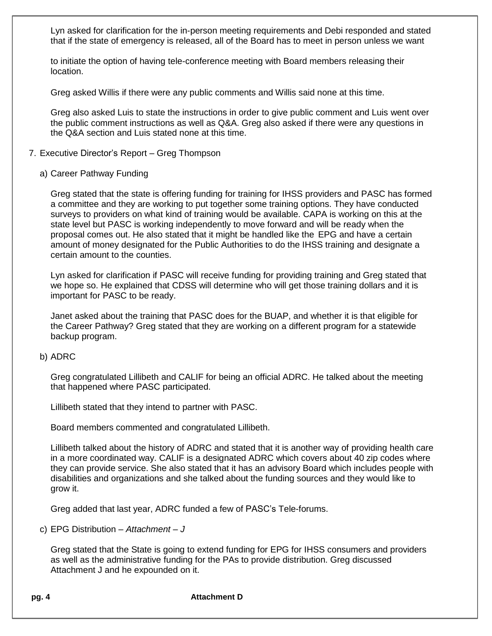Lyn asked for clarification for the in-person meeting requirements and Debi responded and stated that if the state of emergency is released, all of the Board has to meet in person unless we want

to initiate the option of having tele-conference meeting with Board members releasing their location.

Greg asked Willis if there were any public comments and Willis said none at this time.

Greg also asked Luis to state the instructions in order to give public comment and Luis went over the public comment instructions as well as Q&A. Greg also asked if there were any questions in the Q&A section and Luis stated none at this time.

#### 7. Executive Director's Report – Greg Thompson

#### a) Career Pathway Funding

Greg stated that the state is offering funding for training for IHSS providers and PASC has formed a committee and they are working to put together some training options. They have conducted surveys to providers on what kind of training would be available. CAPA is working on this at the state level but PASC is working independently to move forward and will be ready when the proposal comes out. He also stated that it might be handled like the EPG and have a certain amount of money designated for the Public Authorities to do the IHSS training and designate a certain amount to the counties.

Lyn asked for clarification if PASC will receive funding for providing training and Greg stated that we hope so. He explained that CDSS will determine who will get those training dollars and it is important for PASC to be ready.

Janet asked about the training that PASC does for the BUAP, and whether it is that eligible for the Career Pathway? Greg stated that they are working on a different program for a statewide backup program.

#### b) ADRC

Greg congratulated Lillibeth and CALIF for being an official ADRC. He talked about the meeting that happened where PASC participated.

Lillibeth stated that they intend to partner with PASC.

Board members commented and congratulated Lillibeth.

Lillibeth talked about the history of ADRC and stated that it is another way of providing health care in a more coordinated way. CALIF is a designated ADRC which covers about 40 zip codes where they can provide service. She also stated that it has an advisory Board which includes people with disabilities and organizations and she talked about the funding sources and they would like to grow it.

Greg added that last year, ADRC funded a few of PASC's Tele-forums.

c) EPG Distribution – *Attachment – J*

Greg stated that the State is going to extend funding for EPG for IHSS consumers and providers as well as the administrative funding for the PAs to provide distribution. Greg discussed Attachment J and he expounded on it.

**pg. 4 Attachment D**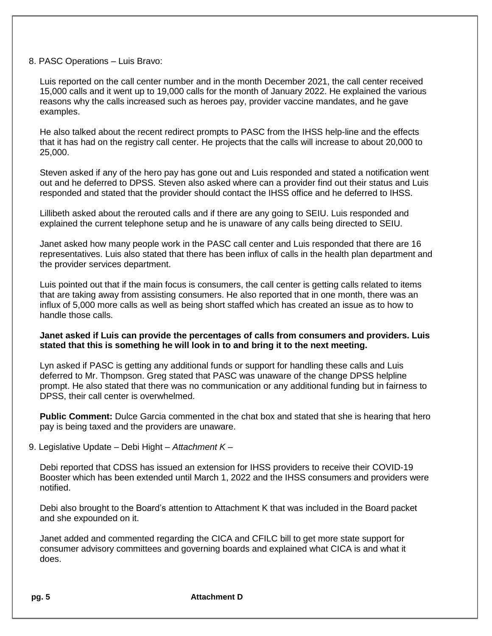### 8. PASC Operations – Luis Bravo:

Luis reported on the call center number and in the month December 2021, the call center received 15,000 calls and it went up to 19,000 calls for the month of January 2022. He explained the various reasons why the calls increased such as heroes pay, provider vaccine mandates, and he gave examples.

He also talked about the recent redirect prompts to PASC from the IHSS help-line and the effects that it has had on the registry call center. He projects that the calls will increase to about 20,000 to 25,000.

Steven asked if any of the hero pay has gone out and Luis responded and stated a notification went out and he deferred to DPSS. Steven also asked where can a provider find out their status and Luis responded and stated that the provider should contact the IHSS office and he deferred to IHSS.

Lillibeth asked about the rerouted calls and if there are any going to SEIU. Luis responded and explained the current telephone setup and he is unaware of any calls being directed to SEIU.

Janet asked how many people work in the PASC call center and Luis responded that there are 16 representatives. Luis also stated that there has been influx of calls in the health plan department and the provider services department.

Luis pointed out that if the main focus is consumers, the call center is getting calls related to items that are taking away from assisting consumers. He also reported that in one month, there was an influx of 5,000 more calls as well as being short staffed which has created an issue as to how to handle those calls.

### **Janet asked if Luis can provide the percentages of calls from consumers and providers. Luis stated that this is something he will look in to and bring it to the next meeting.**

Lyn asked if PASC is getting any additional funds or support for handling these calls and Luis deferred to Mr. Thompson. Greg stated that PASC was unaware of the change DPSS helpline prompt. He also stated that there was no communication or any additional funding but in fairness to DPSS, their call center is overwhelmed.

**Public Comment:** Dulce Garcia commented in the chat box and stated that she is hearing that hero pay is being taxed and the providers are unaware.

9. Legislative Update – Debi Hight *– Attachment K –*

Debi reported that CDSS has issued an extension for IHSS providers to receive their COVID-19 Booster which has been extended until March 1, 2022 and the IHSS consumers and providers were notified.

Debi also brought to the Board's attention to Attachment K that was included in the Board packet and she expounded on it.

Janet added and commented regarding the CICA and CFILC bill to get more state support for consumer advisory committees and governing boards and explained what CICA is and what it does.

**pg. 5 Attachment D**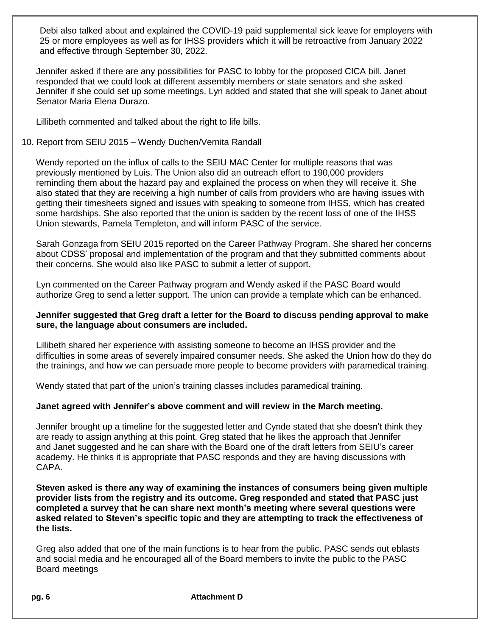Debi also talked about and explained the COVID-19 paid supplemental sick leave for employers with 25 or more employees as well as for IHSS providers which it will be retroactive from January 2022 and effective through September 30, 2022.

Jennifer asked if there are any possibilities for PASC to lobby for the proposed CICA bill. Janet responded that we could look at different assembly members or state senators and she asked Jennifer if she could set up some meetings. Lyn added and stated that she will speak to Janet about Senator Maria Elena Durazo.

Lillibeth commented and talked about the right to life bills.

## 10. Report from SEIU 2015 – Wendy Duchen/Vernita Randall

Wendy reported on the influx of calls to the SEIU MAC Center for multiple reasons that was previously mentioned by Luis. The Union also did an outreach effort to 190,000 providers reminding them about the hazard pay and explained the process on when they will receive it. She also stated that they are receiving a high number of calls from providers who are having issues with getting their timesheets signed and issues with speaking to someone from IHSS, which has created some hardships. She also reported that the union is sadden by the recent loss of one of the IHSS Union stewards, Pamela Templeton, and will inform PASC of the service.

Sarah Gonzaga from SEIU 2015 reported on the Career Pathway Program. She shared her concerns about CDSS' proposal and implementation of the program and that they submitted comments about their concerns. She would also like PASC to submit a letter of support.

Lyn commented on the Career Pathway program and Wendy asked if the PASC Board would authorize Greg to send a letter support. The union can provide a template which can be enhanced.

## **Jennifer suggested that Greg draft a letter for the Board to discuss pending approval to make sure, the language about consumers are included.**

Lillibeth shared her experience with assisting someone to become an IHSS provider and the difficulties in some areas of severely impaired consumer needs. She asked the Union how do they do the trainings, and how we can persuade more people to become providers with paramedical training.

Wendy stated that part of the union's training classes includes paramedical training.

## **Janet agreed with Jennifer's above comment and will review in the March meeting.**

Jennifer brought up a timeline for the suggested letter and Cynde stated that she doesn't think they are ready to assign anything at this point. Greg stated that he likes the approach that Jennifer and Janet suggested and he can share with the Board one of the draft letters from SEIU's career academy. He thinks it is appropriate that PASC responds and they are having discussions with CAPA.

**Steven asked is there any way of examining the instances of consumers being given multiple provider lists from the registry and its outcome. Greg responded and stated that PASC just completed a survey that he can share next month's meeting where several questions were asked related to Steven's specific topic and they are attempting to track the effectiveness of the lists.**

Greg also added that one of the main functions is to hear from the public. PASC sends out eblasts and social media and he encouraged all of the Board members to invite the public to the PASC Board meetings

**pg. 6 Attachment D**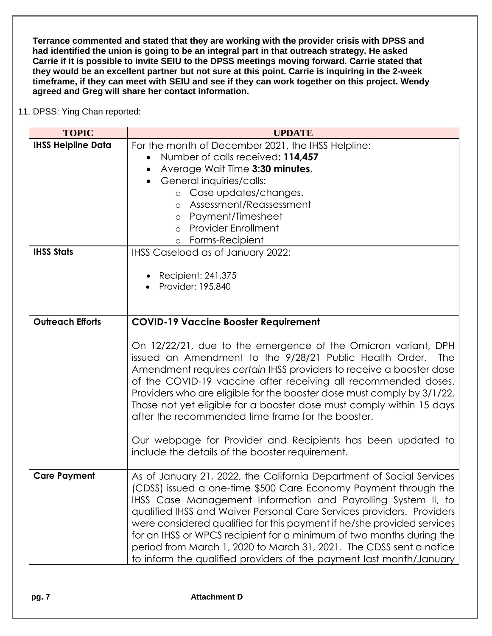**Terrance commented and stated that they are working with the provider crisis with DPSS and had identified the union is going to be an integral part in that outreach strategy. He asked Carrie if it is possible to invite SEIU to the DPSS meetings moving forward. Carrie stated that they would be an excellent partner but not sure at this point. Carrie is inquiring in the 2-week timeframe, if they can meet with SEIU and see if they can work together on this project. Wendy agreed and Greg will share her contact information.**

11. DPSS: Ying Chan reported:

| <b>TOPIC</b>              | <b>UPDATE</b>                                                                                                                                                                                                                                                                                                                                                                                                                                                                                                                                                                     |
|---------------------------|-----------------------------------------------------------------------------------------------------------------------------------------------------------------------------------------------------------------------------------------------------------------------------------------------------------------------------------------------------------------------------------------------------------------------------------------------------------------------------------------------------------------------------------------------------------------------------------|
| <b>IHSS Helpline Data</b> | For the month of December 2021, the IHSS Helpline:                                                                                                                                                                                                                                                                                                                                                                                                                                                                                                                                |
|                           | Number of calls received: 114,457                                                                                                                                                                                                                                                                                                                                                                                                                                                                                                                                                 |
|                           | Average Wait Time 3:30 minutes,                                                                                                                                                                                                                                                                                                                                                                                                                                                                                                                                                   |
|                           | General inquiries/calls:                                                                                                                                                                                                                                                                                                                                                                                                                                                                                                                                                          |
|                           | o Case updates/changes.                                                                                                                                                                                                                                                                                                                                                                                                                                                                                                                                                           |
|                           | Assessment/Reassessment<br>$\circ$                                                                                                                                                                                                                                                                                                                                                                                                                                                                                                                                                |
|                           | Payment/Timesheet<br>$\circ$                                                                                                                                                                                                                                                                                                                                                                                                                                                                                                                                                      |
|                           | <b>Provider Enrollment</b><br>$\circ$                                                                                                                                                                                                                                                                                                                                                                                                                                                                                                                                             |
|                           | Forms-Recipient<br>$\circ$                                                                                                                                                                                                                                                                                                                                                                                                                                                                                                                                                        |
| <b>IHSS Stats</b>         | IHSS Caseload as of January 2022:                                                                                                                                                                                                                                                                                                                                                                                                                                                                                                                                                 |
|                           |                                                                                                                                                                                                                                                                                                                                                                                                                                                                                                                                                                                   |
|                           | Recipient: 241,375                                                                                                                                                                                                                                                                                                                                                                                                                                                                                                                                                                |
|                           | Provider: 195,840                                                                                                                                                                                                                                                                                                                                                                                                                                                                                                                                                                 |
|                           |                                                                                                                                                                                                                                                                                                                                                                                                                                                                                                                                                                                   |
| <b>Outreach Efforts</b>   | <b>COVID-19 Vaccine Booster Requirement</b>                                                                                                                                                                                                                                                                                                                                                                                                                                                                                                                                       |
|                           |                                                                                                                                                                                                                                                                                                                                                                                                                                                                                                                                                                                   |
|                           | On 12/22/21, due to the emergence of the Omicron variant, DPH<br>issued an Amendment to the 9/28/21 Public Health Order.<br><b>The</b><br>Amendment requires certain IHSS providers to receive a booster dose<br>of the COVID-19 vaccine after receiving all recommended doses.<br>Providers who are eligible for the booster dose must comply by 3/1/22.<br>Those not yet eligible for a booster dose must comply within 15 days<br>after the recommended time frame for the booster.                                                                                            |
|                           | Our webpage for Provider and Recipients has been updated to<br>include the details of the booster requirement.                                                                                                                                                                                                                                                                                                                                                                                                                                                                    |
| <b>Care Payment</b>       | As of January 21, 2022, the California Department of Social Services<br>(CDSS) issued a one-time \$500 Care Economy Payment through the<br>IHSS Case Management Information and Payrolling System II, to<br>qualified IHSS and Waiver Personal Care Services providers. Providers<br>were considered qualified for this payment if he/she provided services<br>for an IHSS or WPCS recipient for a minimum of two months during the<br>period from March 1, 2020 to March 31, 2021. The CDSS sent a notice<br>to inform the qualified providers of the payment last month/January |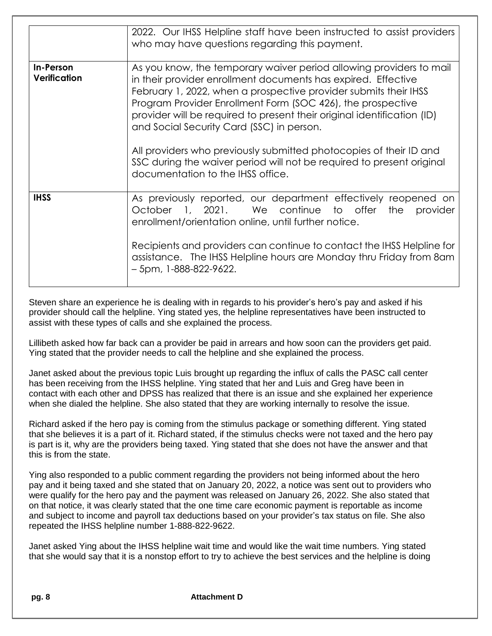|                                  | 2022. Our IHSS Helpline staff have been instructed to assist providers<br>who may have questions regarding this payment.                                                                                                                                                                                                                                                                                                                                                                                                                                                            |
|----------------------------------|-------------------------------------------------------------------------------------------------------------------------------------------------------------------------------------------------------------------------------------------------------------------------------------------------------------------------------------------------------------------------------------------------------------------------------------------------------------------------------------------------------------------------------------------------------------------------------------|
| In-Person<br><b>Verification</b> | As you know, the temporary waiver period allowing providers to mail<br>in their provider enrollment documents has expired. Effective<br>February 1, 2022, when a prospective provider submits their IHSS<br>Program Provider Enrollment Form (SOC 426), the prospective<br>provider will be required to present their original identification (ID)<br>and Social Security Card (SSC) in person.<br>All providers who previously submitted photocopies of their ID and<br>SSC during the waiver period will not be required to present original<br>documentation to the IHSS office. |
| <b>IHSS</b>                      | As previously reported, our department effectively reopened on<br>October 1, 2021. We continue to offer the provider<br>enrollment/orientation online, until further notice.<br>Recipients and providers can continue to contact the IHSS Helpline for<br>assistance. The IHSS Helpline hours are Monday thru Friday from 8am<br>$-5$ pm, 1-888-822-9622.                                                                                                                                                                                                                           |

Steven share an experience he is dealing with in regards to his provider's hero's pay and asked if his provider should call the helpline. Ying stated yes, the helpline representatives have been instructed to assist with these types of calls and she explained the process.

Lillibeth asked how far back can a provider be paid in arrears and how soon can the providers get paid. Ying stated that the provider needs to call the helpline and she explained the process.

Janet asked about the previous topic Luis brought up regarding the influx of calls the PASC call center has been receiving from the IHSS helpline. Ying stated that her and Luis and Greg have been in contact with each other and DPSS has realized that there is an issue and she explained her experience when she dialed the helpline. She also stated that they are working internally to resolve the issue.

Richard asked if the hero pay is coming from the stimulus package or something different. Ying stated that she believes it is a part of it. Richard stated, if the stimulus checks were not taxed and the hero pay is part is it, why are the providers being taxed. Ying stated that she does not have the answer and that this is from the state.

Ying also responded to a public comment regarding the providers not being informed about the hero pay and it being taxed and she stated that on January 20, 2022, a notice was sent out to providers who were qualify for the hero pay and the payment was released on January 26, 2022. She also stated that on that notice, it was clearly stated that the one time care economic payment is reportable as income and subject to income and payroll tax deductions based on your provider's tax status on file. She also repeated the IHSS helpline number 1-888-822-9622.

Janet asked Ying about the IHSS helpline wait time and would like the wait time numbers. Ying stated that she would say that it is a nonstop effort to try to achieve the best services and the helpline is doing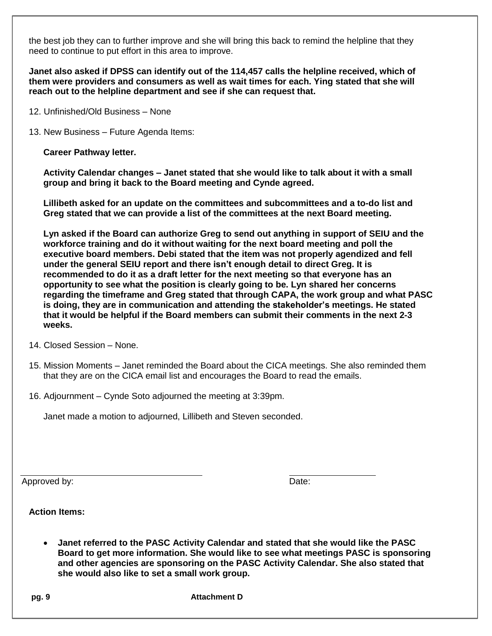the best job they can to further improve and she will bring this back to remind the helpline that they need to continue to put effort in this area to improve.

**Janet also asked if DPSS can identify out of the 114,457 calls the helpline received, which of them were providers and consumers as well as wait times for each. Ying stated that she will reach out to the helpline department and see if she can request that.**

- 12. Unfinished/Old Business None
- 13. New Business Future Agenda Items:

**Career Pathway letter.**

**Activity Calendar changes – Janet stated that she would like to talk about it with a small group and bring it back to the Board meeting and Cynde agreed.**

**Lillibeth asked for an update on the committees and subcommittees and a to-do list and Greg stated that we can provide a list of the committees at the next Board meeting.**

**Lyn asked if the Board can authorize Greg to send out anything in support of SEIU and the workforce training and do it without waiting for the next board meeting and poll the executive board members. Debi stated that the item was not properly agendized and fell under the general SEIU report and there isn't enough detail to direct Greg. It is recommended to do it as a draft letter for the next meeting so that everyone has an opportunity to see what the position is clearly going to be. Lyn shared her concerns regarding the timeframe and Greg stated that through CAPA, the work group and what PASC is doing, they are in communication and attending the stakeholder's meetings. He stated that it would be helpful if the Board members can submit their comments in the next 2-3 weeks.**

- 14. Closed Session None.
- 15. Mission Moments Janet reminded the Board about the CICA meetings. She also reminded them that they are on the CICA email list and encourages the Board to read the emails.
- 16. Adjournment Cynde Soto adjourned the meeting at 3:39pm.

Janet made a motion to adjourned, Lillibeth and Steven seconded.

Approved by: Date:

**Action Items:**

• **Janet referred to the PASC Activity Calendar and stated that she would like the PASC Board to get more information. She would like to see what meetings PASC is sponsoring and other agencies are sponsoring on the PASC Activity Calendar. She also stated that she would also like to set a small work group.**

**pg. 9 Attachment D**